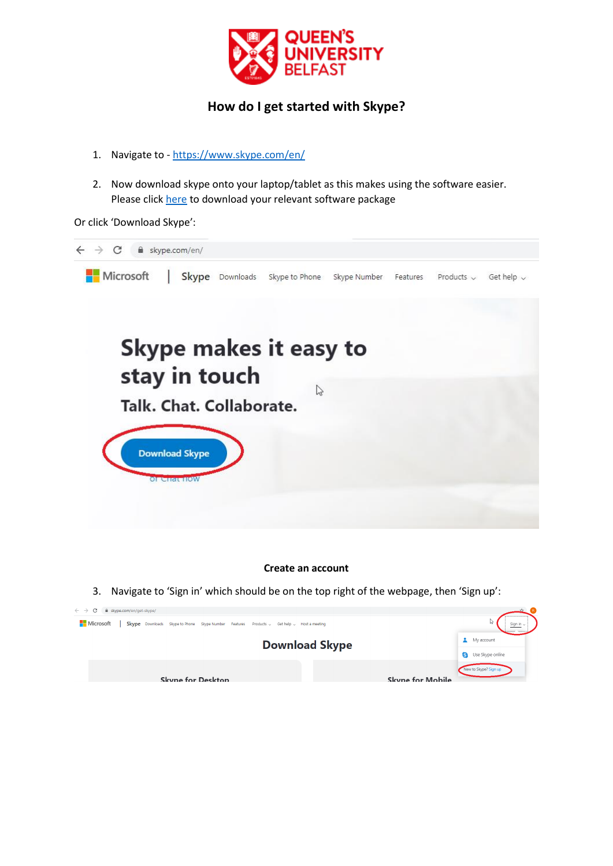

## **How do I get started with Skype?**

- 1. Navigate to <https://www.skype.com/en/>
- 2. Now download skype onto your laptop/tablet as this makes using the software easier. Please click [here](https://www.skype.com/en/get-skype/) to download your relevant software package

Or click 'Download Skype':



## **Create an account**

3. Navigate to 'Sign in' which should be on the top right of the webpage, then 'Sign up':

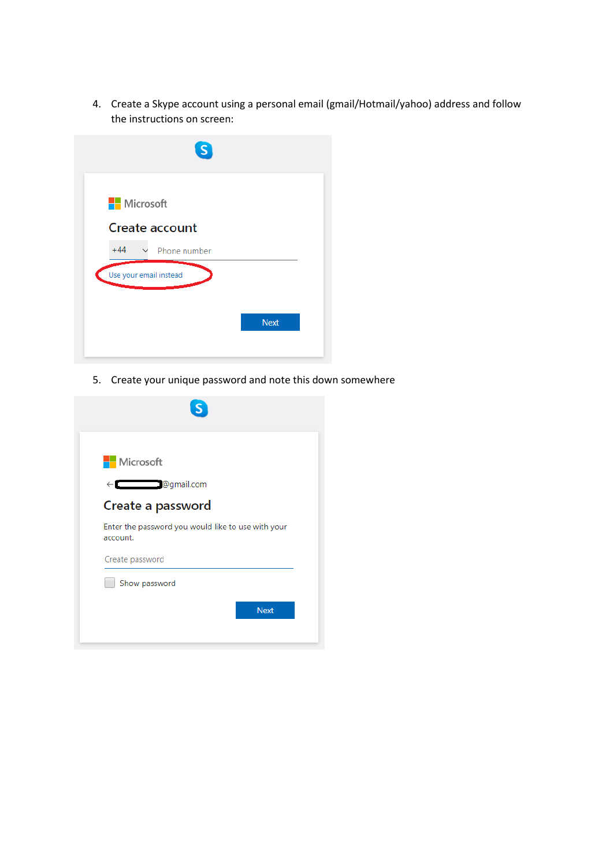4. Create a Skype account using a personal email (gmail/Hotmail/yahoo) address and follow the instructions on screen:

| Microsoft              |  |
|------------------------|--|
| <b>Create account</b>  |  |
| $+44$<br>Phone number  |  |
| Use your email instead |  |
|                        |  |
| <b>Next</b>            |  |
|                        |  |

5. Create your unique password and note this down somewhere

| <b>Nicrosoft</b><br>← ©gmail.com                               |             |
|----------------------------------------------------------------|-------------|
| Create a password                                              |             |
| Enter the password you would like to use with your<br>account. |             |
| Create password                                                |             |
| Show password                                                  |             |
|                                                                | <b>Next</b> |
|                                                                |             |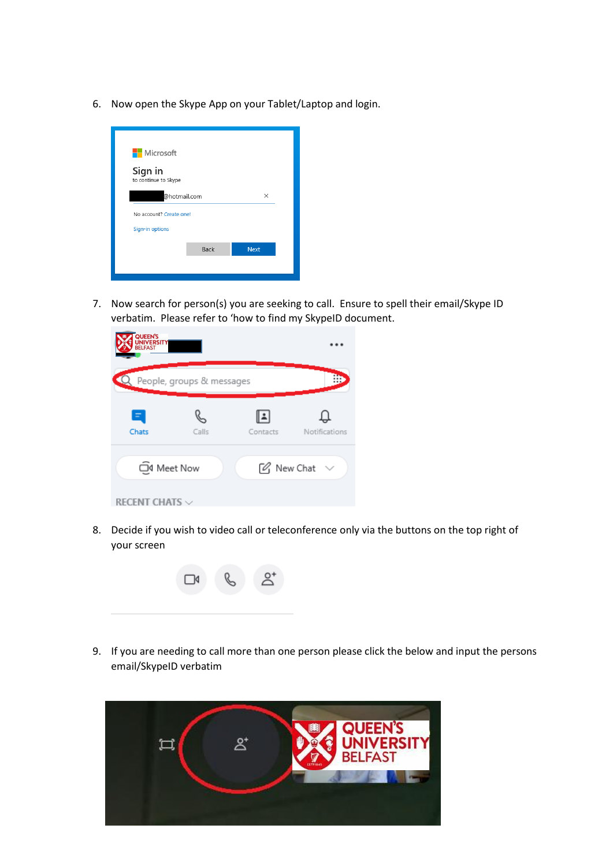6. Now open the Skype App on your Tablet/Laptop and login.

| Microsoft                       |      |             |  |  |
|---------------------------------|------|-------------|--|--|
|                                 |      |             |  |  |
| Sign in<br>to continue to Skype |      |             |  |  |
| @hotmail.com                    |      | ×           |  |  |
| No account? Create one!         |      |             |  |  |
| Sign-in options                 |      |             |  |  |
|                                 |      |             |  |  |
|                                 | Back | <b>Next</b> |  |  |
|                                 |      |             |  |  |

7. Now search for person(s) you are seeking to call. Ensure to spell their email/Skype ID verbatim. Please refer to 'how to find my SkypeID document.

| QUEEN'S<br><b>UNIVERSITY</b><br>BELFAST |       |                 |               |
|-----------------------------------------|-------|-----------------|---------------|
| Q People, groups & messages             |       |                 |               |
| Ξ<br>Chats                              | Calls | ا≛ا<br>Contacts | Notifications |
| OI Meet Now                             |       | A New Chat      |               |
| RECENT CHATS $\vee$                     |       |                 |               |

8. Decide if you wish to video call or teleconference only via the buttons on the top right of your screen



9. If you are needing to call more than one person please click the below and input the persons email/SkypeID verbatim